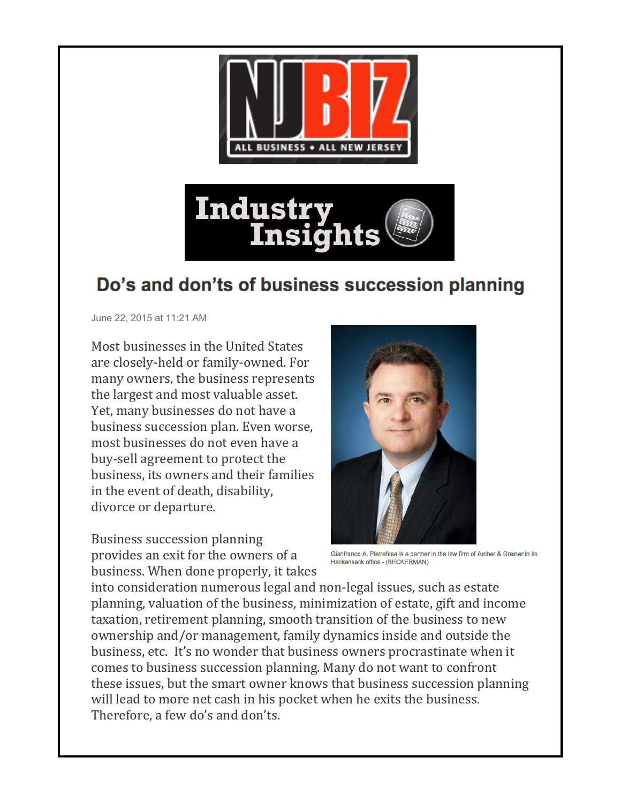

## Do's and don'ts of business succession planning

June 22, 2015 at 11:21 AM

Most businesses in the United States are closely-held or family-owned. For many owners, the business represents the largest and most valuable asset. Yet, many businesses do not have a business succession plan. Even worse, most businesses do not even have a buy-sell agreement to protect the business, its owners and their families in the event of death, disability, divorce or departure.

Business succession planning provides an exit for the owners of a business. When done properly, it takes



Gianfranco A. Pietrafesa is a partner in the law firm of Archer & Greiner in its Hackensack office - (BECKERMAN)

into consideration numerous legal and non-legal issues, such as estate planning, valuation of the business, minimization of estate, gift and income taxation, retirement planning, smooth transition of the business to new ownership and/or management, family dynamics inside and outside the business, etc. It's no wonder that business owners procrastinate when it comes to business succession planning. Many do not want to confront these issues, but the smart owner knows that business succession planning will lead to more net cash in his pocket when he exits the business. Therefore, a few do's and don'ts.